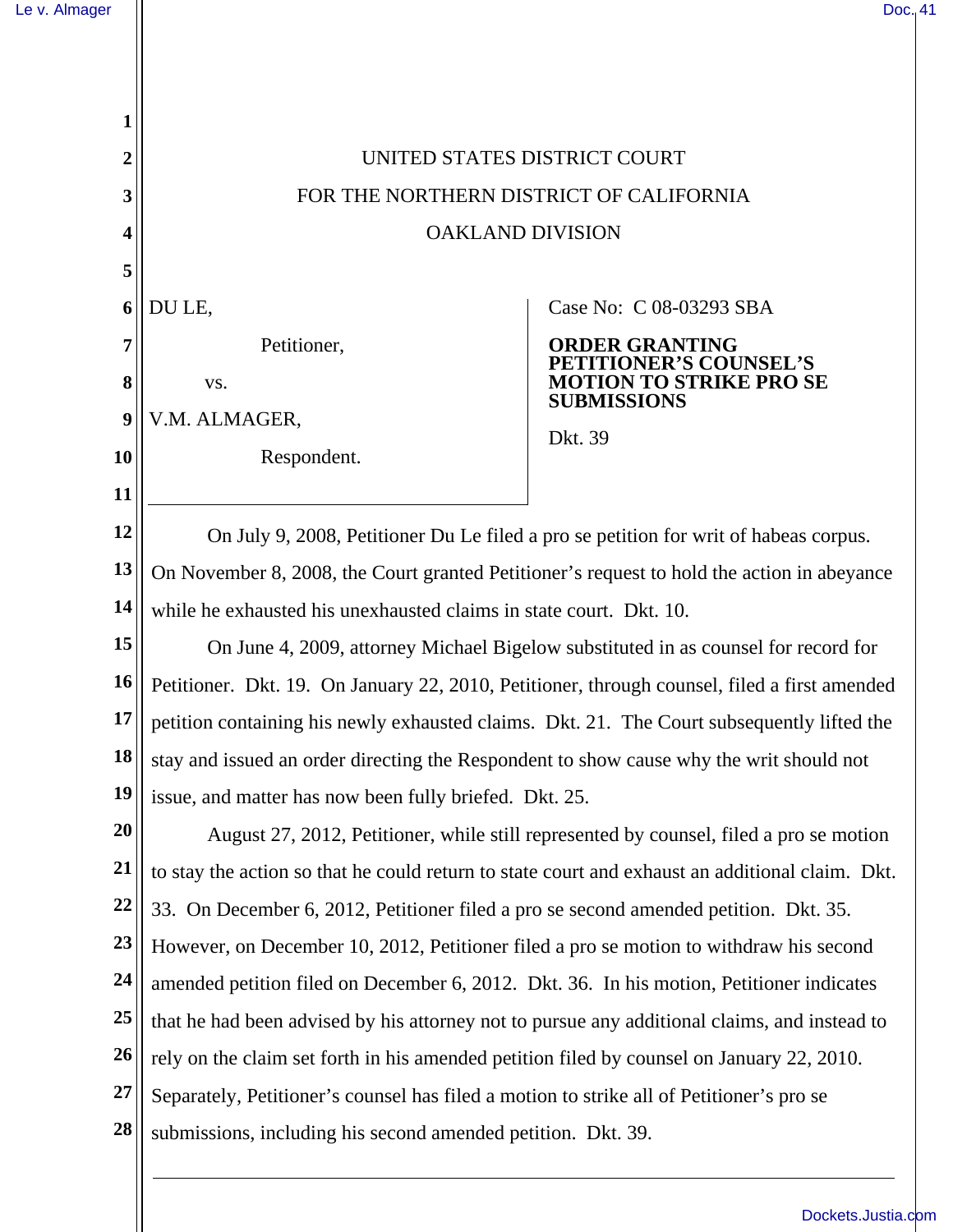| Le v. Almager |                                                                                                 | Doc, 41                                                                                |  |
|---------------|-------------------------------------------------------------------------------------------------|----------------------------------------------------------------------------------------|--|
|               |                                                                                                 |                                                                                        |  |
|               |                                                                                                 |                                                                                        |  |
|               |                                                                                                 |                                                                                        |  |
| 2             | UNITED STATES DISTRICT COURT                                                                    |                                                                                        |  |
| 3             | FOR THE NORTHERN DISTRICT OF CALIFORNIA                                                         |                                                                                        |  |
| 4             | <b>OAKLAND DIVISION</b>                                                                         |                                                                                        |  |
| 5             |                                                                                                 |                                                                                        |  |
| 6             | DU LE,                                                                                          | Case No: C 08-03293 SBA                                                                |  |
| 7             | Petitioner,                                                                                     | <b>ORDER GRANTING</b><br>NER'S COUNSEL'S                                               |  |
| 8             | VS.                                                                                             | <b>DTION TO STRIKE PRO SE</b><br><b>SUBMISSIONS</b>                                    |  |
| 9             | V.M. ALMAGER,                                                                                   | Dkt. 39                                                                                |  |
| 10            | Respondent.                                                                                     |                                                                                        |  |
| 11            |                                                                                                 |                                                                                        |  |
| 12            | On July 9, 2008, Petitioner Du Le filed a pro se petition for writ of habeas corpus.            |                                                                                        |  |
| 13            | On November 8, 2008, the Court granted Petitioner's request to hold the action in abeyance      |                                                                                        |  |
| 14            | while he exhausted his unexhausted claims in state court. Dkt. 10.                              |                                                                                        |  |
| 15            | On June 4, 2009, attorney Michael Bigelow substituted in as counsel for record for              |                                                                                        |  |
| 16            | Petitioner. Dkt. 19. On January 22, 2010, Petitioner, through counsel, filed a first amended    |                                                                                        |  |
| 17            | petition containing his newly exhausted claims. Dkt. 21. The Court subsequently lifted the      |                                                                                        |  |
| 18            | stay and issued an order directing the Respondent to show cause why the writ should not         |                                                                                        |  |
| 19            | issue, and matter has now been fully briefed. Dkt. 25.                                          |                                                                                        |  |
| 20            |                                                                                                 | August 27, 2012, Petitioner, while still represented by counsel, filed a pro se motion |  |
| <b>21</b>     | to stay the action so that he could return to state court and exhaust an additional claim. Dkt. |                                                                                        |  |
| 22            | 33. On December 6, 2012, Petitioner filed a pro se second amended petition. Dkt. 35.            |                                                                                        |  |
| 23            | However, on December 10, 2012, Petitioner filed a pro se motion to withdraw his second          |                                                                                        |  |
| 24            | amended petition filed on December 6, 2012. Dkt. 36. In his motion, Petitioner indicates        |                                                                                        |  |
| 25<br>26      | that he had been advised by his attorney not to pursue any additional claims, and instead to    |                                                                                        |  |
| <b>27</b>     | rely on the claim set forth in his amended petition filed by counsel on January 22, 2010.       |                                                                                        |  |
| 28            | Separately, Petitioner's counsel has filed a motion to strike all of Petitioner's pro se        |                                                                                        |  |
|               | submissions, including his second amended petition. Dkt. 39.                                    |                                                                                        |  |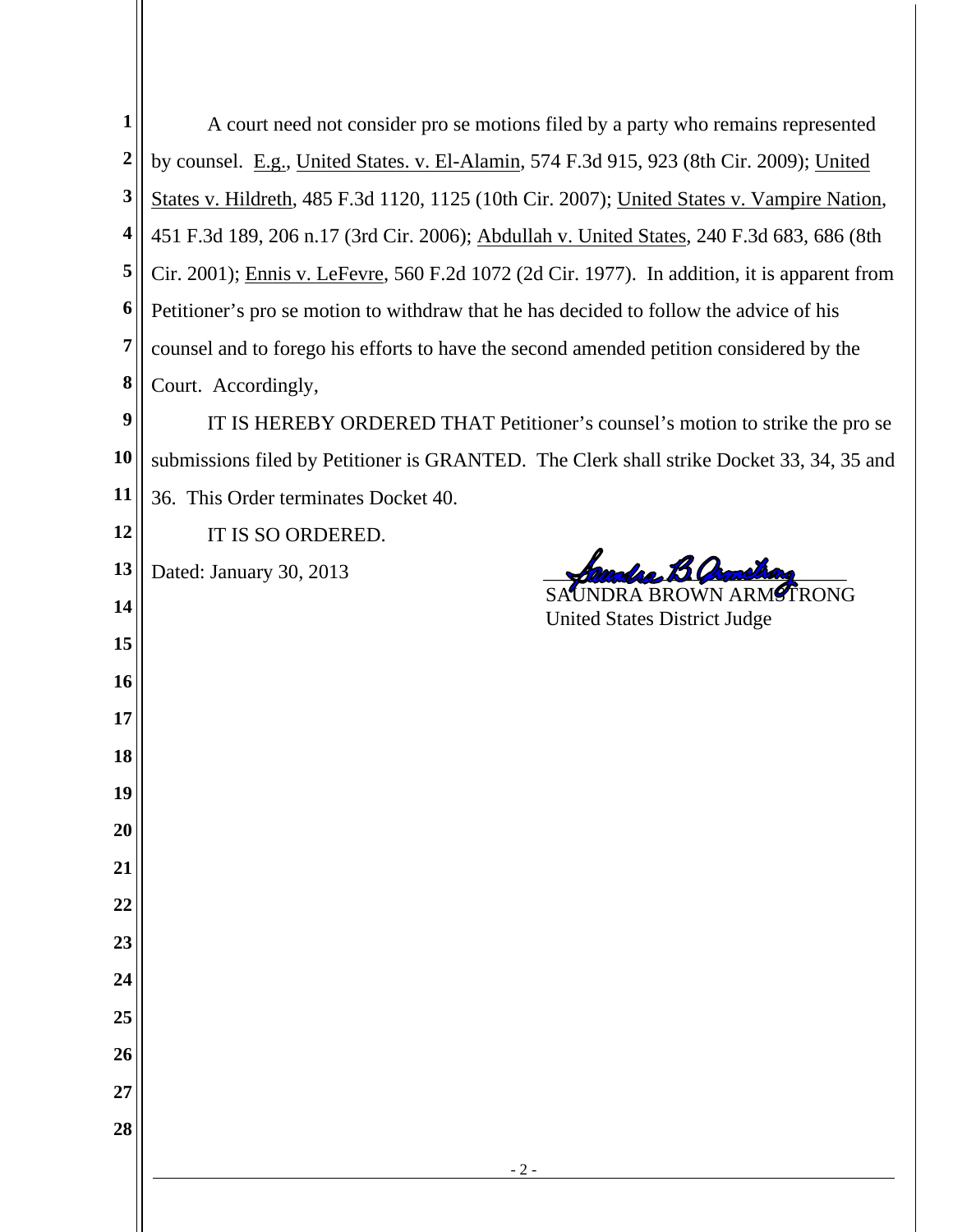| 1                       | A court need not consider pro se motions filed by a party who remains represented            |
|-------------------------|----------------------------------------------------------------------------------------------|
| $\boldsymbol{2}$        | by counsel. E.g., United States. v. El-Alamin, 574 F.3d 915, 923 (8th Cir. 2009); United     |
| $\mathbf{3}$            | States v. Hildreth, 485 F.3d 1120, 1125 (10th Cir. 2007); United States v. Vampire Nation,   |
| $\overline{\mathbf{4}}$ | 451 F.3d 189, 206 n.17 (3rd Cir. 2006); Abdullah v. United States, 240 F.3d 683, 686 (8th    |
| 5                       | Cir. 2001); Ennis v. LeFevre, 560 F.2d 1072 (2d Cir. 1977). In addition, it is apparent from |
| 6                       | Petitioner's pro se motion to withdraw that he has decided to follow the advice of his       |
| 7                       | counsel and to forego his efforts to have the second amended petition considered by the      |
| 8                       | Court. Accordingly,                                                                          |
| $\boldsymbol{9}$        | IT IS HEREBY ORDERED THAT Petitioner's counsel's motion to strike the pro se                 |
| <b>10</b>               | submissions filed by Petitioner is GRANTED. The Clerk shall strike Docket 33, 34, 35 and     |
| 11                      | 36. This Order terminates Docket 40.                                                         |
| 12                      | IT IS SO ORDERED.                                                                            |
| 13                      | Dated: January 30, 2013                                                                      |
| 14                      | RA BROWN ARM <sup>Ø</sup> ŤRONG<br><b>United States District Judge</b>                       |
| 15                      |                                                                                              |
| 16                      |                                                                                              |
| 17                      |                                                                                              |
| 18                      |                                                                                              |
| 19                      |                                                                                              |
| 20                      |                                                                                              |
| 21                      |                                                                                              |
| 22                      |                                                                                              |
| 23                      |                                                                                              |
| 24                      |                                                                                              |
| 25                      |                                                                                              |
| 26                      |                                                                                              |
| 27                      |                                                                                              |
| 28                      |                                                                                              |
|                         | $-2-$                                                                                        |
|                         |                                                                                              |